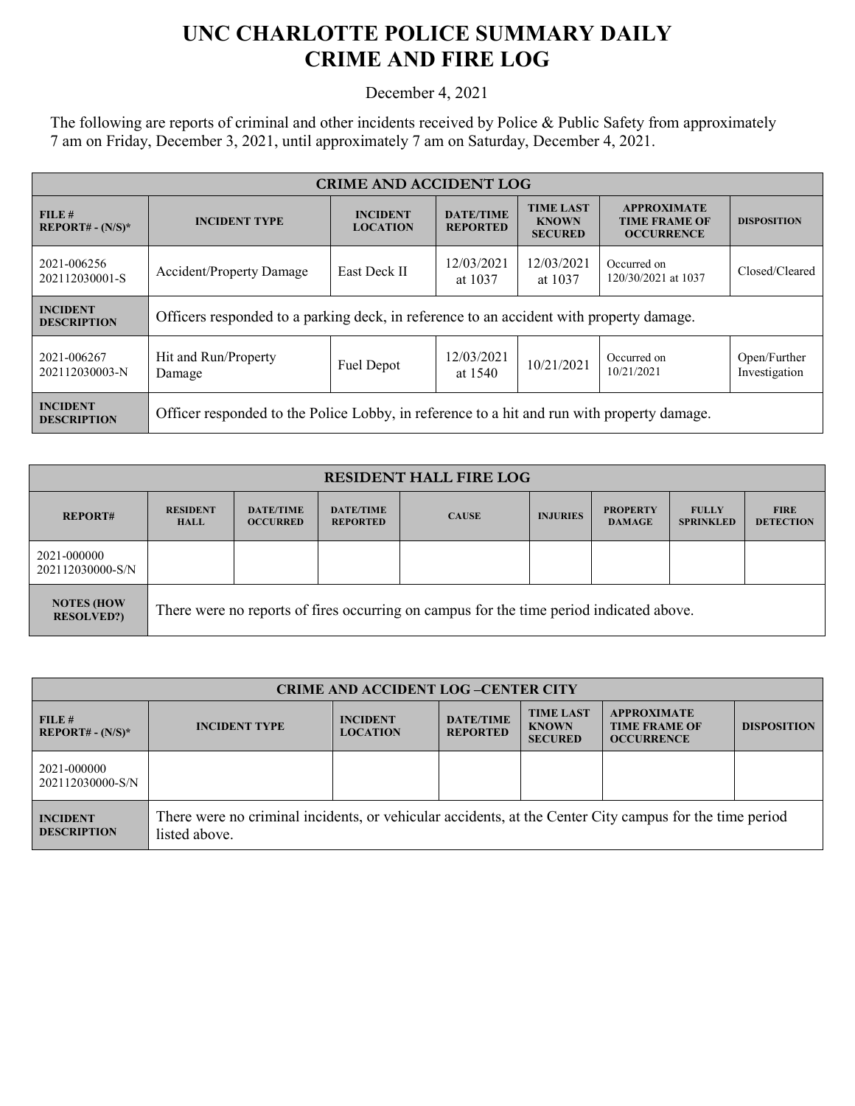## **UNC CHARLOTTE POLICE SUMMARY DAILY CRIME AND FIRE LOG**

December 4, 2021

The following are reports of criminal and other incidents received by Police & Public Safety from approximately 7 am on Friday, December 3, 2021, until approximately 7 am on Saturday, December 4, 2021.

| <b>CRIME AND ACCIDENT LOG</b>         |                                                                                                                                                         |                     |                                                                 |                       |                                    |                               |
|---------------------------------------|---------------------------------------------------------------------------------------------------------------------------------------------------------|---------------------|-----------------------------------------------------------------|-----------------------|------------------------------------|-------------------------------|
| FILE#<br>$REPORT# - (N/S)*$           | <b>TIME LAST</b><br><b>DATE/TIME</b><br><b>INCIDENT</b><br><b>INCIDENT TYPE</b><br><b>KNOWN</b><br><b>LOCATION</b><br><b>REPORTED</b><br><b>SECURED</b> |                     | <b>APPROXIMATE</b><br><b>TIME FRAME OF</b><br><b>OCCURRENCE</b> | <b>DISPOSITION</b>    |                                    |                               |
| 2021-006256<br>202112030001-S         | Accident/Property Damage                                                                                                                                | <b>East Deck II</b> | 12/03/2021<br>at 1037                                           | 12/03/2021<br>at 1037 | Occurred on<br>120/30/2021 at 1037 | Closed/Cleared                |
| <b>INCIDENT</b><br><b>DESCRIPTION</b> | Officers responded to a parking deck, in reference to an accident with property damage.                                                                 |                     |                                                                 |                       |                                    |                               |
| 2021-006267<br>202112030003-N         | Hit and Run/Property<br>Damage                                                                                                                          | Fuel Depot          | 12/03/2021<br>at 1540                                           | 10/21/2021            | Occurred on<br>10/21/2021          | Open/Further<br>Investigation |
| <b>INCIDENT</b><br><b>DESCRIPTION</b> | Officer responded to the Police Lobby, in reference to a hit and run with property damage.                                                              |                     |                                                                 |                       |                                    |                               |

| <b>RESIDENT HALL FIRE LOG</b>          |                                                                                         |                                     |                                     |              |                 |                                  |                                  |                                 |
|----------------------------------------|-----------------------------------------------------------------------------------------|-------------------------------------|-------------------------------------|--------------|-----------------|----------------------------------|----------------------------------|---------------------------------|
| <b>REPORT#</b>                         | <b>RESIDENT</b><br><b>HALL</b>                                                          | <b>DATE/TIME</b><br><b>OCCURRED</b> | <b>DATE/TIME</b><br><b>REPORTED</b> | <b>CAUSE</b> | <b>INJURIES</b> | <b>PROPERTY</b><br><b>DAMAGE</b> | <b>FULLY</b><br><b>SPRINKLED</b> | <b>FIRE</b><br><b>DETECTION</b> |
| 2021-000000<br>202112030000-S/N        |                                                                                         |                                     |                                     |              |                 |                                  |                                  |                                 |
| <b>NOTES (HOW</b><br><b>RESOLVED?)</b> | There were no reports of fires occurring on campus for the time period indicated above. |                                     |                                     |              |                 |                                  |                                  |                                 |

| <b>CRIME AND ACCIDENT LOG-CENTER CITY</b> |                                                                                                                          |                                    |                                     |                                                    |                                                                 |                    |
|-------------------------------------------|--------------------------------------------------------------------------------------------------------------------------|------------------------------------|-------------------------------------|----------------------------------------------------|-----------------------------------------------------------------|--------------------|
| FILE#<br>$REPORT# - (N/S)*$               | <b>INCIDENT TYPE</b>                                                                                                     | <b>INCIDENT</b><br><b>LOCATION</b> | <b>DATE/TIME</b><br><b>REPORTED</b> | <b>TIME LAST</b><br><b>KNOWN</b><br><b>SECURED</b> | <b>APPROXIMATE</b><br><b>TIME FRAME OF</b><br><b>OCCURRENCE</b> | <b>DISPOSITION</b> |
| 2021-000000<br>202112030000-S/N           |                                                                                                                          |                                    |                                     |                                                    |                                                                 |                    |
| <b>INCIDENT</b><br><b>DESCRIPTION</b>     | There were no criminal incidents, or vehicular accidents, at the Center City campus for the time period<br>listed above. |                                    |                                     |                                                    |                                                                 |                    |